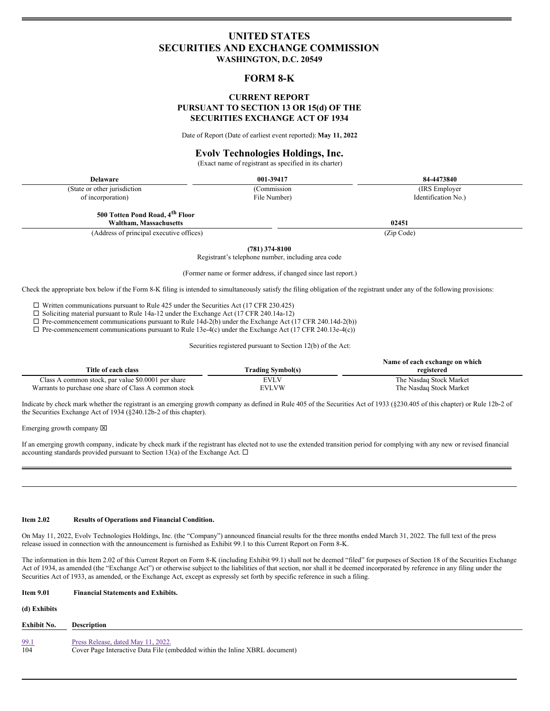# **UNITED STATES SECURITIES AND EXCHANGE COMMISSION WASHINGTON, D.C. 20549**

# **FORM 8-K**

# **CURRENT REPORT PURSUANT TO SECTION 13 OR 15(d) OF THE SECURITIES EXCHANGE ACT OF 1934**

Date of Report (Date of earliest event reported):**May 11, 2022**

# **Evolv Technologies Holdings, Inc.**

(Exact name of registrant as specified in its charter)

(State or other jurisdiction of incorporation)

(Commission File Number)

(IRS Employer Identification No.)

**500 Totten Pond Road, 4 th Floor**

**Waltham, Massachusetts 02451**

(Address of principal executive offices) (Zip Code)

**(781) 374-8100**

Registrant's telephone number, including area code

(Former name or former address, if changed since last report.)

Check the appropriate box below if the Form 8-K filing is intended to simultaneously satisfy the filing obligation of the registrant under any of the following provisions:

 $\square$  Written communications pursuant to Rule 425 under the Securities Act (17 CFR 230.425)

 $\Box$  Soliciting material pursuant to Rule 14a-12 under the Exchange Act (17 CFR 240.14a-12)

 $\Box$  Pre-commencement communications pursuant to Rule 14d-2(b) under the Exchange Act (17 CFR 240.14d-2(b))

 $\Box$  Pre-commencement communications pursuant to Rule 13e-4(c) under the Exchange Act (17 CFR 240.13e-4(c))

Securities registered pursuant to Section 12(b) of the Act:

| Title of each class                                    | <b>Trading Symbol(s)</b> | Name of each exchange on which<br>registered |
|--------------------------------------------------------|--------------------------|----------------------------------------------|
|                                                        |                          |                                              |
| Class A common stock, par value \$0.0001 per share     | EVLV                     | The Nasdag Stock Market                      |
| Warrants to purchase one share of Class A common stock | EVLVW                    | The Nasdag Stock Market                      |

Indicate by check mark whether the registrant is an emerging growth company as defined in Rule 405 of the Securities Act of 1933 (§230.405 of this chapter) or Rule 12b-2 of the Securities Exchange Act of 1934 (§240.12b-2 of this chapter).

Emerging growth company  $[2]$ 

If an emerging growth company, indicate by check mark if the registrant has elected not to use the extended transition period for complying with any new or revised financial accounting standards provided pursuant to Section 13(a) of the Exchange Act.  $\Box$ 

### **Item 2.02 Results of Operations and Financial Condition.**

On May 11, 2022, Evolv Technologies Holdings, Inc. (the "Company") announced financial results for the three months ended March 31, 2022. The full text of the press release issued in connection with the announcement is furnished as Exhibit 99.1 to this Current Report on Form 8-K.

The information in this Item 2.02 of this Current Report on Form 8-K (including Exhibit 99.1) shall not be deemed "filed" for purposes of Section 18 of the Securities Exchange Act of 1934, as amended (the "Exchange Act") or otherwise subject to the liabilities of that section, nor shall it be deemed incorporated by reference in any filing under the Securities Act of 1933, as amended, or the Exchange Act, except as expressly set forth by specific reference in such a filing.

# **Item 9.01 Financial Statements and Exhibits. (d) Exhibits Exhibit No. Description** [99.1](#page-4-0) Press [Release,](#page-4-0) dated May 11, 2022.<br>104 Cover Page Interactive Data File (e Cover Page Interactive Data File (embedded within the Inline XBRL document)

**Delaware 001-39417 84-4473840**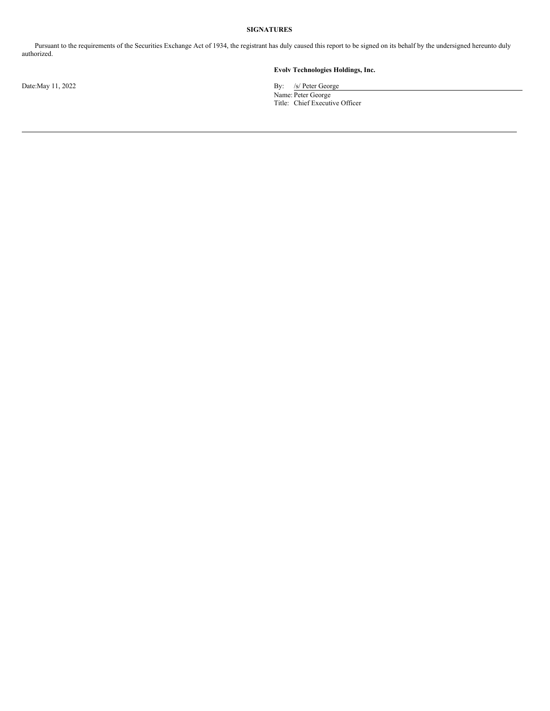# **SIGNATURES**

Pursuant to the requirements of the Securities Exchange Act of 1934, the registrant has duly caused this report to be signed on its behalf by the undersigned hereunto duly authorized.

# **Evolv Technologies Holdings, Inc.**

Date:May 11, 2022 By: /s/ Peter George Name: Peter George Title: Chief Executive Officer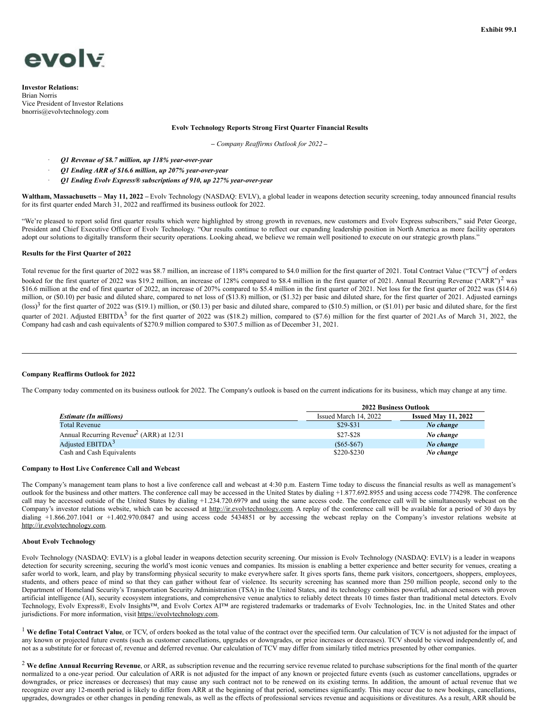

**Investor Relations:** Brian Norris Vice President of Investor Relations bnorris@evolvtechnology.com

## **Evolv Technology Reports Strong First Quarter Financial Results**

**–** *Company Reaf irms Outlook for 2022* **–**

- · *Q1 Revenue of \$8.7 million, up 118% year-over-year*
	- · *Q1 Ending ARR of \$16.6 million, up 207% year-over-year*
- · *Q1 Ending Evolv Express® subscriptions of 910, up 227% year-over-year*

**Waltham, Massachusetts – May 11, 2022 –** Evolv Technology (NASDAQ: EVLV), a global leader in weapons detection security screening, today announced financial results for its first quarter ended March 31, 2022 and reaffirmed its business outlook for 2022.

"We're pleased to report solid first quarter results which were highlighted by strong growth in revenues, new customers and Evolv Express subscribers," said Peter George, President and Chief Executive Officer of Evolv Technology. "Our results continue to reflect our expanding leadership position in North America as more facility operators adopt our solutions to digitally transform their security operations. Looking ahead, we believe we remain well positioned to execute on our strategic growth plans."

### **Results for the First Quarter of 2022**

Total revenue for the first quarter of 2022 was \$8.7 million, an increase of 118% compared to \$4.0 million for the first quarter of 2021. Total Contract Value ("TCV") of orders booked for the first quarter of 2022 was \$19.2 million, an increase of 128% compared to \$8.4 million in the first quarter of 2021. Annual Recurring Revenue ("ARR")<sup>2</sup> was \$16.6 million at the end of first quarter of 2022, an increase of 207% compared to \$5.4 million in the first quarter of 2021. Net loss for the first quarter of 2022 was (\$14.6) million, or (\$0.10) per basic and diluted share, compared to net loss of (\$13.8) million, or (\$1.32) per basic and diluted share, for the first quarter of 2021. Adjusted earnings (loss)<sup>3</sup> for the first quarter of 2022 was (\$19.1) million, or (\$0.13) per basic and diluted share, compared to (\$10.5) million, or (\$1.01) per basic and diluted share, for the first quarter of 2021. Adjusted EBITDA<sup>3</sup> for the first quarter of 2022 was (\$18.2) million, compared to (\$7.6) million for the first quarter of 2021.As of March 31, 2022, the Company had cash and cash equivalents of \$270.9 million compared to \$307.5 million as of December 31, 2021.

### **Company Reaffirms Outlook for 2022**

The Company today commented on its business outlook for 2022. The Company's outlook is based on the current indications for its business, which may change at any time.

|                                                        | <b>2022 Business Outlook</b> |                            |
|--------------------------------------------------------|------------------------------|----------------------------|
| <b>Estimate (In millions)</b>                          | Issued March 14, 2022        | <b>Issued May 11, 2022</b> |
| <b>Total Revenue</b>                                   | $$29-$31$                    | No change                  |
| Annual Recurring Revenue <sup>2</sup> (ARR) at $12/31$ | $$27-$28$                    | No change                  |
| Adjusted EBITD $A3$                                    | $(S65 - S67)$                | No change                  |
| Cash and Cash Equivalents                              | \$220-\$230                  | No change                  |

### **Company to Host Live Conference Call and Webcast**

The Company's management team plans to host a live conference call and webcast at 4:30 p.m. Eastern Time today to discuss the financial results as well as management's outlook for the business and other matters. The conference call may be accessed in the United States by dialing +1.877.692.8955 and using access code 774298. The conference call may be accessed outside of the United States by dialing +1.234.720.6979 and using the same access code. The conference call will be simultaneously webcast on the Company's investor relations website, which can be accessed at http://ir.evolvtechnology.com. A replay of the conference call will be available for a period of 30 days by dialing +1.866.207.1041 or +1.402.970.0847 and using access code 5434851 or by accessing the webcast replay on the Company's investor relations website at http://ir.evolvtechnology.com.

#### **About Evolv Technology**

Evolv Technology (NASDAQ: EVLV) is a global leader in weapons detection security screening. Our mission is Evolv Technology (NASDAQ: EVLV) is a leader in weapons detection for security screening, securing the world's most iconic venues and companies. Its mission is enabling a better experience and better security for venues, creating a safer world to work, learn, and play by transforming physical security to make everywhere safer. It gives sports fans, theme park visitors, concertgoers, shoppers, employees, students, and others peace of mind so that they can gather without fear of violence. Its security screening has scanned more than 250 million people, second only to the Department of Homeland Security's Transportation Security Administration (TSA) in the United States, and its technology combines powerful, advanced sensors with proven artificial intelligence (AI), security ecosystem integrations, and comprehensive venue analytics to reliably detect threats 10 times faster than traditional metal detectors. Evolv Technology, Evolv Express®, Evolv Insights™, and Evolv Cortex AI™ are registered trademarks or trademarks of Evolv Technologies, Inc. in the United States and other jurisdictions. For more information, visit https://evolvtechnology.com.

<sup>1</sup> We define Total Contract Value, or TCV, of orders booked as the total value of the contract over the specified term. Our calculation of TCV is not adjusted for the impact of any known or projected future events (such as customer cancellations, upgrades or downgrades, or price increases or decreases). TCV should be viewed independently of, and not as a substitute for or forecast of, revenue and deferred revenue. Our calculation of TCV may differ from similarly titled metrics presented by other companies.

<sup>2</sup> **We define Annual Recurring Revenue**, or ARR, as subscription revenue and the recurring service revenue related to purchase subscriptions for the final month of the quarter normalized to a one-year period. Our calculation of ARR is not adjusted for the impact of any known or projected future events (such as customer cancellations, upgrades or downgrades, or price increases or decreases) that may cause any such contract not to be renewed on its existing terms. In addition, the amount of actual revenue that we recognize over any 12-month period is likely to differ from ARR at the beginning of that period, sometimes significantly. This may occur due to new bookings, cancellations, upgrades, downgrades or other changes in pending renewals, as well as the effects of professional services revenue and acquisitions or divestitures. As a result, ARR should be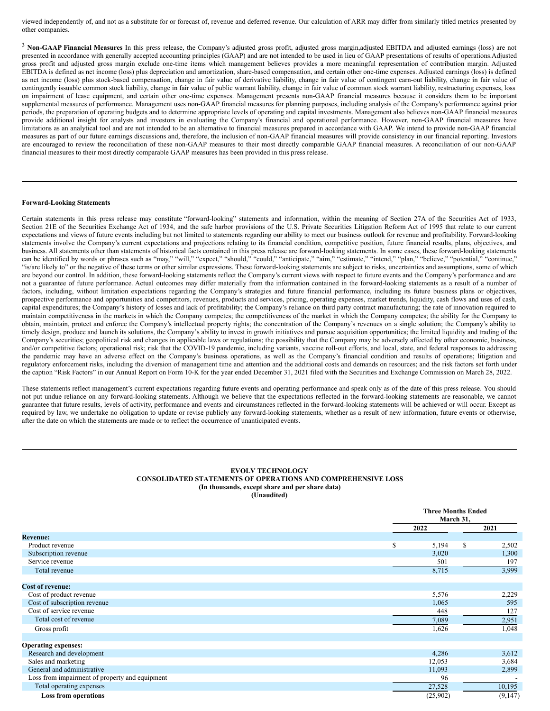viewed independently of, and not as a substitute for or forecast of, revenue and deferred revenue. Our calculation of ARR may differ from similarly titled metrics presented by other companies.

<sup>3</sup> **Non-GAAP Financial Measures** In this press release, the Company's adjusted gross profit, adjusted gross margin,adjusted EBITDA and adjusted earnings (loss) are not presented in accordance with generally accepted accounting principles (GAAP) and are not intended to be used in lieu of GAAP presentations of results of operations.Adjusted gross profit and adjusted gross margin exclude one-time items which management believes provides a more meaningful representation of contribution margin. Adjusted EBITDA is defined as net income (loss) plus depreciation and amortization, share-based compensation, and certain other one-time expenses. Adjusted earnings (loss) is defined as net income (loss) plus stock-based compensation, change in fair value of derivative liability, change in fair value of contingent earn-out liability, change in fair value of contingently issuable common stock liability, change in fair value of public warrant liability, change in fair value of common stock warrant liability, restructuring expenses, loss on impairment of lease equipment, and certain other one-time expenses. Management presents non-GAAP financial measures because it considers them to be important supplemental measures of performance. Management uses non-GAAP financial measures for planning purposes, including analysis of the Company's performance against prior periods, the preparation of operating budgets and to determine appropriate levels of operating and capital investments. Management also believes non-GAAP financial measures provide additional insight for analysts and investors in evaluating the Company's financial and operational performance. However, non-GAAP financial measures have limitations as an analytical tool and are not intended to be an alternative to financial measures prepared in accordance with GAAP. We intend to provide non-GAAP financial measures as part of our future earnings discussions and, therefore, the inclusion of non-GAAP financial measures will provide consistency in our financial reporting. Investors are encouraged to review the reconciliation of these non-GAAP measures to their most directly comparable GAAP financial measures. A reconciliation of our non-GAAP financial measures to their most directly comparable GAAP measures has been provided in this press release.

#### **Forward-Looking Statements**

Certain statements in this press release may constitute "forward-looking" statements and information, within the meaning of Section 27A of the Securities Act of 1933, Section 21E of the Securities Exchange Act of 1934, and the safe harbor provisions of the U.S. Private Securities Litigation Reform Act of 1995 that relate to our current expectations and views of future events including but not limited to statements regarding our ability to meet our business outlook for revenue and profitability. Forward-looking statements involve the Company's current expectations and projections relating to its financial condition, competitive position, future financial results, plans, objectives, and business. All statements other than statements of historical facts contained in this press release are forward-looking statements. In some cases, these forward-looking statements can be identified by words or phrases such as "may," "will," "expect," "should," "could," "anticipate," "aim," "estimate," "intend," "plan," "believe," "potential," "continue," "is/are likely to" or the negative of these terms or other similar expressions. These forward-looking statements are subject to risks, uncertainties and assumptions, some of which are beyond our control. In addition, these forward-looking statements reflect the Company's current views with respect to future events and the Company's performance and are not a guarantee of future performance. Actual outcomes may differ materially from the information contained in the forward-looking statements as a result of a number of factors, including, without limitation expectations regarding the Company's strategies and future financial performance, including its future business plans or objectives, prospective performance and opportunities and competitors, revenues, products and services, pricing, operating expenses, market trends, liquidity, cash flows and uses of cash, capital expenditures; the Company's history of losses and lack of profitability; the Company's reliance on third party contract manufacturing; the rate of innovation required to maintain competitiveness in the markets in which the Company competes; the competitiveness of the market in which the Company competes; the ability for the Company to obtain, maintain, protect and enforce the Company's intellectual property rights; the concentration of the Company's revenues on a single solution; the Company's ability to timely design, produce and launch its solutions, the Company's ability to invest in growth initiatives and pursue acquisition opportunities; the limited liquidity and trading of the Company's securities; geopolitical risk and changes in applicable laws or regulations; the possibility that the Company may be adversely affected by other economic, business, and/or competitive factors; operational risk; risk that the COVID-19 pandemic, including variants, vaccine roll-out efforts, and local, state, and federal responses to addressing the pandemic may have an adverse effect on the Company's business operations, as well as the Company's financial condition and results of operations; litigation and regulatory enforcement risks, including the diversion of management time and attention and the additional costs and demands on resources; and the risk factors set forth under the caption "Risk Factors" in our Annual Report on Form 10-K for the year ended December 31, 2021 filed with the Securities and Exchange Commission on March 28, 2022.

These statements reflect management's current expectations regarding future events and operating performance and speak only as of the date of this press release. You should not put undue reliance on any forward-looking statements. Although we believe that the expectations reflected in the forward-looking statements are reasonable, we cannot guarantee that future results, levels of activity, performance and events and circumstances reflected in the forward-looking statements will be achieved or will occur. Except as required by law, we undertake no obligation to update or revise publicly any forward-looking statements, whether as a result of new information, future events or otherwise, after the date on which the statements are made or to reflect the occurrence of unanticipated events.

#### **EVOLV TECHNOLOGY CONSOLIDATED STATEMENTS OF OPERATIONS AND COMPREHENSIVE LOSS (In thousands, except share and per share data) (Unaudited)**

|                                                |      | <b>Three Months Ended</b><br>March 31, |            |  |
|------------------------------------------------|------|----------------------------------------|------------|--|
|                                                | 2022 |                                        | 2021       |  |
| <b>Revenue:</b>                                |      |                                        |            |  |
| Product revenue                                | S    | 5,194                                  | S<br>2,502 |  |
| Subscription revenue                           |      | 3,020                                  | 1,300      |  |
| Service revenue                                |      | 501                                    | 197        |  |
| Total revenue                                  |      | 8,715                                  | 3,999      |  |
| <b>Cost of revenue:</b>                        |      |                                        |            |  |
| Cost of product revenue                        |      | 5,576                                  | 2,229      |  |
| Cost of subscription revenue                   |      | 1,065                                  | 595        |  |
| Cost of service revenue                        |      | 448                                    | 127        |  |
| Total cost of revenue                          |      | 7,089                                  | 2,951      |  |
| Gross profit                                   |      | 1,626                                  | 1,048      |  |
| <b>Operating expenses:</b>                     |      |                                        |            |  |
| Research and development                       |      | 4,286                                  | 3,612      |  |
| Sales and marketing                            |      | 12,053                                 | 3,684      |  |
| General and administrative                     |      | 11,093                                 | 2,899      |  |
| Loss from impairment of property and equipment |      | 96                                     |            |  |
| Total operating expenses                       |      | 27,528                                 | 10,195     |  |
| <b>Loss from operations</b>                    |      | (25,902)                               | (9,147)    |  |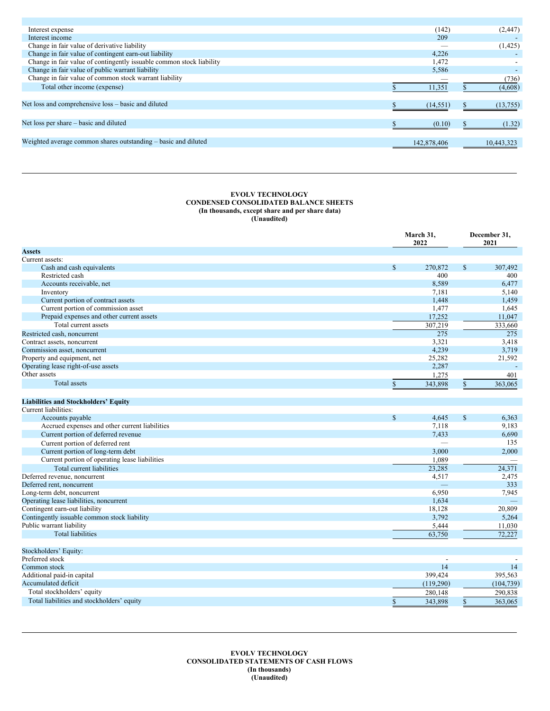<span id="page-4-0"></span>

| Interest expense                                                     | (142)       | (2, 447)   |
|----------------------------------------------------------------------|-------------|------------|
| Interest income                                                      | 209         |            |
| Change in fair value of derivative liability                         |             | (1, 425)   |
| Change in fair value of contingent earn-out liability                | 4,226       |            |
| Change in fair value of contingently issuable common stock liability | 1,472       |            |
| Change in fair value of public warrant liability                     | 5,586       |            |
| Change in fair value of common stock warrant liability               |             | (736)      |
| Total other income (expense)                                         | 11,351      | (4,608)    |
|                                                                      |             |            |
| Net loss and comprehensive loss – basic and diluted                  | (14, 551)   | (13, 755)  |
|                                                                      |             |            |
| Net loss per share – basic and diluted                               | (0.10)      | (1.32)     |
|                                                                      |             |            |
| Weighted average common shares outstanding – basic and diluted       | 142,878,406 | 10.443.323 |
|                                                                      |             |            |

### **EVOLV TECHNOLOGY CONDENSED CONSOLIDATED BALANCE SHEETS (In thousands, except share and per share data) (Unaudited)**

|                                                | March 31,<br>2022        |                      | December 31,<br>2021 |  |  |
|------------------------------------------------|--------------------------|----------------------|----------------------|--|--|
| <b>Assets</b>                                  |                          |                      |                      |  |  |
| Current assets:                                |                          |                      |                      |  |  |
| Cash and cash equivalents                      | $\mathsf{\$}$<br>270,872 | $\mathbb{S}$         | 307,492              |  |  |
| Restricted cash                                |                          | 400                  | 400                  |  |  |
| Accounts receivable, net                       |                          | 8,589                | 6,477                |  |  |
| Inventory                                      |                          | 7,181                | 5,140                |  |  |
| Current portion of contract assets             |                          | 1,448                | 1,459                |  |  |
| Current portion of commission asset            |                          | 1,477                | 1,645                |  |  |
| Prepaid expenses and other current assets      |                          | 17,252               | 11,047               |  |  |
| Total current assets                           | 307,219                  |                      | 333,660              |  |  |
| Restricted cash, noncurrent                    |                          | 275                  | 275                  |  |  |
| Contract assets, noncurrent                    |                          | 3,321                | 3,418                |  |  |
| Commission asset, noncurrent                   |                          | 4,239                | 3,719                |  |  |
| Property and equipment, net                    |                          | 25,282               | 21,592               |  |  |
| Operating lease right-of-use assets            |                          | 2,287                | $\sim$               |  |  |
| Other assets                                   |                          | 1,275                | 401                  |  |  |
| Total assets                                   | \$<br>343,898            | \$                   | 363,065              |  |  |
|                                                |                          |                      |                      |  |  |
| <b>Liabilities and Stockholders' Equity</b>    |                          |                      |                      |  |  |
| Current liabilities:                           |                          |                      |                      |  |  |
| Accounts payable                               | $\mathbb{S}$             | $\mathbf S$<br>4,645 | 6,363                |  |  |
| Accrued expenses and other current liabilities |                          | 7,118                | 9,183                |  |  |
| Current portion of deferred revenue            |                          | 7,433                | 6,690                |  |  |
| Current portion of deferred rent               |                          |                      | 135                  |  |  |
| Current portion of long-term debt              |                          | 3,000                | 2,000                |  |  |
| Current portion of operating lease liabilities |                          | 1,089                |                      |  |  |
| Total current liabilities                      |                          | 23,285               | 24,371               |  |  |
| Deferred revenue, noncurrent                   |                          | 4,517                | 2,475                |  |  |
| Deferred rent, noncurrent                      |                          | $\equiv$             | 333                  |  |  |
| Long-term debt, noncurrent                     |                          | 6,950                | 7,945                |  |  |
| Operating lease liabilities, noncurrent        |                          | 1,634                |                      |  |  |
| Contingent earn-out liability                  |                          | 18,128               | 20,809               |  |  |
| Contingently issuable common stock liability   |                          | 3,792                | 5,264                |  |  |
| Public warrant liability                       |                          | 5,444                | 11,030               |  |  |
| <b>Total liabilities</b>                       |                          | 63,750               | 72.227               |  |  |
|                                                |                          |                      |                      |  |  |
| Stockholders' Equity:                          |                          |                      |                      |  |  |
| Preferred stock                                |                          | $\overline{a}$       |                      |  |  |
| Common stock                                   |                          | 14                   | 14                   |  |  |
| Additional paid-in capital                     | 399,424                  |                      | 395,563              |  |  |
| Accumulated deficit                            | (119,290)                |                      | (104, 739)           |  |  |
| Total stockholders' equity                     | 280,148                  |                      | 290,838              |  |  |
| Total liabilities and stockholders' equity     |                          |                      |                      |  |  |
|                                                | \$<br>343,898            | $\mathbb{S}$         | 363,065              |  |  |

**EVOLV TECHNOLOGY CONSOLIDATED STATEMENTS OF CASH FLOWS (In thousands) (Unaudited)**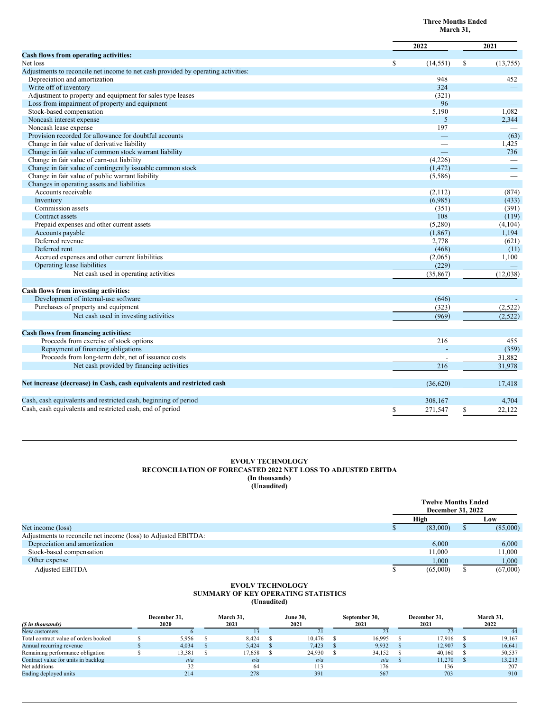|                                                                                   |                 | March 31,                |
|-----------------------------------------------------------------------------------|-----------------|--------------------------|
|                                                                                   | 2022            | 2021                     |
| Cash flows from operating activities:                                             |                 |                          |
| Net loss                                                                          | \$<br>(14, 551) | \$<br>(13, 755)          |
| Adjustments to reconcile net income to net cash provided by operating activities: |                 |                          |
| Depreciation and amortization                                                     | 948             | 452                      |
| Write off of inventory                                                            | 324             | $\qquad \qquad -$        |
| Adjustment to property and equipment for sales type leases                        | (321)           |                          |
| Loss from impairment of property and equipment                                    | 96              | $\overline{\phantom{0}}$ |
| Stock-based compensation                                                          | 5,190           | 1,082                    |
| Noncash interest expense                                                          | 5               | 2,344                    |
| Noncash lease expense                                                             | 197             |                          |
| Provision recorded for allowance for doubtful accounts                            | $\equiv$        | (63)                     |
| Change in fair value of derivative liability                                      |                 | 1,425                    |
| Change in fair value of common stock warrant liability                            |                 | 736                      |
| Change in fair value of earn-out liability                                        | (4,226)         |                          |
| Change in fair value of contingently issuable common stock                        | (1, 472)        |                          |
| Change in fair value of public warrant liability                                  | (5,586)         |                          |
| Changes in operating assets and liabilities                                       |                 |                          |
| Accounts receivable                                                               | (2,112)         | (874)                    |
| Inventory                                                                         | (6,985)         | (433)                    |
| Commission assets                                                                 | (351)           | (391)                    |
| Contract assets                                                                   | 108             | (119)                    |
| Prepaid expenses and other current assets                                         | (5,280)         | (4,104)                  |
| Accounts payable                                                                  | (1, 867)        | 1,194                    |
| Deferred revenue                                                                  | 2,778           | (621)                    |
| Deferred rent                                                                     | (468)           | (11)                     |
| Accrued expenses and other current liabilities                                    | (2,065)         | 1,100                    |
| Operating lease liabilities                                                       | (229)           |                          |
| Net cash used in operating activities                                             |                 |                          |
|                                                                                   | (35, 867)       | (12,038)                 |
| Cash flows from investing activities:                                             |                 |                          |
| Development of internal-use software                                              | (646)           |                          |
| Purchases of property and equipment                                               | (323)           | (2,522)                  |
| Net cash used in investing activities                                             | (969)           | (2,522)                  |
| Cash flows from financing activities:                                             |                 |                          |
| Proceeds from exercise of stock options                                           | 216             | 455                      |
| Repayment of financing obligations                                                |                 | (359)                    |
|                                                                                   |                 |                          |
| Proceeds from long-term debt, net of issuance costs                               |                 | 31,882                   |
| Net cash provided by financing activities                                         | 216             | 31,978                   |
| Net increase (decrease) in Cash, cash equivalents and restricted cash             | (36,620)        | 17,418                   |
| Cash, cash equivalents and restricted cash, beginning of period                   | 308,167         | 4,704                    |
| Cash, cash equivalents and restricted cash, end of period                         | 271,547<br>S    | \$<br>22,122             |
|                                                                                   |                 |                          |

**Three Months Ended**

## **EVOLV TECHNOLOGY RECONCILIATION OF FORECASTED 2022 NET LOSS TO ADJUSTED EBITDA (In thousands) (Unaudited)**

|                                                                | <b>Twelve Months Ended</b><br><b>December 31, 2022</b> |   |          |
|----------------------------------------------------------------|--------------------------------------------------------|---|----------|
|                                                                | High                                                   |   | Low      |
| Net income (loss)                                              | (83,000)                                               | ъ | (85,000) |
| Adjustments to reconcile net income (loss) to Adjusted EBITDA: |                                                        |   |          |
| Depreciation and amortization                                  | 6.000                                                  |   | 6,000    |
| Stock-based compensation                                       | 11.000                                                 |   | 11,000   |
| Other expense                                                  | 1,000                                                  |   | 1,000    |
| <b>Adjusted EBITDA</b>                                         | (65,000)                                               |   | (67,000) |

#### **EVOLV TECHNOLOGY SUMMARY OF KEY OPERATING STATISTICS (Unaudited)**

|                                       | December 31. | March 31, | <b>June 30,</b> | September 30, | December 31. | March 31, |
|---------------------------------------|--------------|-----------|-----------------|---------------|--------------|-----------|
| (S in thousands)                      | 2020         | 2021      | 2021            | 2021          | 2021         | 2022      |
| New customers                         |              |           |                 | 23            |              |           |
| Total contract value of orders booked | 5.956        | 8.424     | 10,476          | 16.995        | 17.916       | 19.167    |
| Annual recurring revenue              | 4.034        | 5.424     | 7,423           | 9.932         | 12.907       | 16.641    |
| Remaining performance obligation      | 13.381       | 17.658    | 24,930          | 34.152        | 40,160       | 50,537    |
| Contract value for units in backlog   | n/a          | n/a       | n/a             | n/a           | 11.270       | 13.213    |
| Net additions                         |              | 64        | 113             | 176           | 136          | 207       |
| Ending deployed units                 | 214          | 278       | 391             | 567           | 703          | 910       |